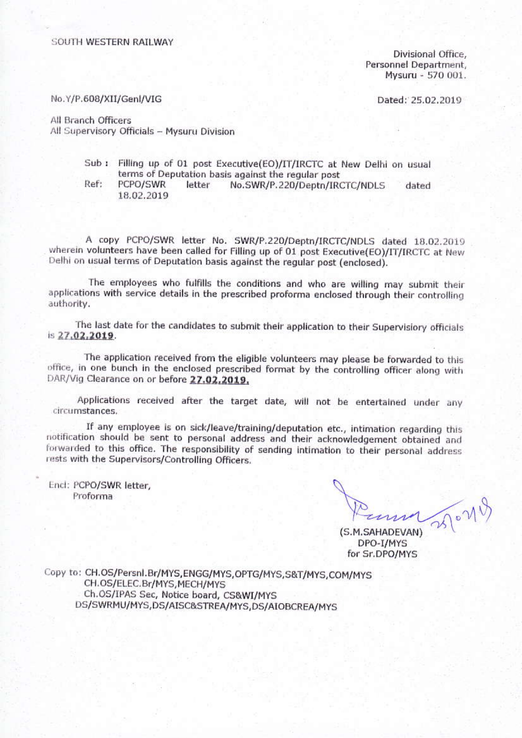#### SOUTH WESTERN RAILWAY

Divisional Office. Personnel Department, Mysuru - 570 001.

Dated: 25.02.2019

No.Y/P.608/XII/Genl/VIG

All Branch Officers All Supervisory Officials - Mysuru Division

- Sub: Filling up of 01 post Executive(EO)/IT/IRCTC at New Delhi on usual terms of Deputation basis against the regular post
- Ref: PCPO/SWR letter No.SWR/P.220/Deptn/IRCTC/NDLS dated 18.02.2019

A copy PCPO/SWR letter No. SWR/P.220/Deptn/IRCTC/NDLS dated 18.02.2019 wherein volunteers have been called for Filling up of 01 post Executive(EO)/IT/IRCTC at New Delhi on usual terms of Deputation basis against the regular post (enclosed).

The employees who fulfills the conditions and who are willing may submit their applications with service details in the prescribed proforma enclosed through their controlling authority.

The last date for the candidates to submit their application to their Supervisiory officials is 27.02.2019.

The application received from the eligible volunteers may please be forwarded to this office, in one bunch in the enclosed prescribed format by the controlling officer along with DAR/Vig Clearance on or before 27.02.2019.

Applications received after the target date, will not be entertained under any circumstances.

If any employee is on sick/leave/training/deputation etc., intimation regarding this notification should be sent to personal address and their acknowledgement obtained and forwarded to this office. The responsibility of sending intimation to their personal address rests with the Supervisors/Controlling Officers.

Encl: PCPO/SWR letter, Proforma

3510719

(S.M.SAHADEVAN) DPO-I/MYS for Sr.DPO/MYS

Copy to: CH.OS/Persnl.Br/MYS,ENGG/MYS,OPTG/MYS,S&T/MYS,COM/MYS CH.OS/ELEC.Br/MYS, MECH/MYS Ch.OS/IPAS Sec, Notice board, CS&WI/MYS DS/SWRMU/MYS,DS/AISC&STREA/MYS,DS/AIOBCREA/MYS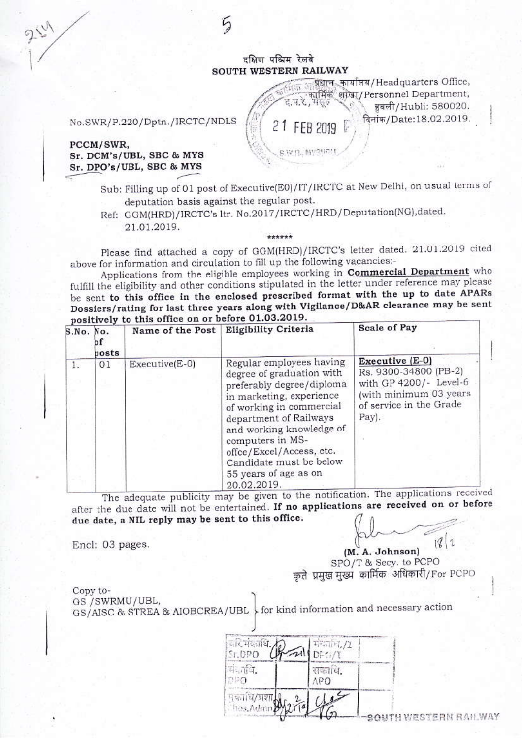## दक्षिण पश्चिम रेलवे SOUTH WESTERN RAILWAY

प्रधान कार्यालय/Headquarters Office, समिक शोखा/Personnel Department.  $J.V.5$ हबली/Hubli: 580020.

दिनांक/Date:18.02.2019.

21 FEB 2019

SWR. MYSHOU

No.SWR/P.220/Dptn./IRCTC/NDLS

### PCCM/SWR, Sr. DCM's/UBL, SBC & MYS Sr. DPO's/UBL, SBC & MYS

- Sub: Filling up of 01 post of Executive(E0)/IT/IRCTC at New Delhi, on usual terms of deputation basis against the regular post.
- Ref: GGM(HRD)/IRCTC's ltr. No.2017/IRCTC/HRD/Deputation(NG),dated. 21.01.2019.

Ţ.

Please find attached a copy of GGM(HRD)/IRCTC's letter dated. 21.01.2019 cited above for information and circulation to fill up the following vacancies:-

\*\*\*\*\*\*

Applications from the eligible employees working in **Commercial Department** who fulfill the eligibility and other conditions stipulated in the letter under reference may please be sent to this office in the enclosed prescribed format with the up to date APARs Dossiers/rating for last three years along with Vigilance/D&AR clearance may be sent positively to this office on or before 01.03.2019.

|    | S.No. No.<br>bf<br>posts |                | Name of the Post Eligibility Criteria                                                                                                                                                                                                                                                                               | <b>Scale of Pay</b>                                                                                                              |
|----|--------------------------|----------------|---------------------------------------------------------------------------------------------------------------------------------------------------------------------------------------------------------------------------------------------------------------------------------------------------------------------|----------------------------------------------------------------------------------------------------------------------------------|
| 1. | 01                       | Executive(E-0) | Regular employees having<br>degree of graduation with<br>preferably degree/diploma<br>in marketing, experience<br>of working in commercial<br>department of Railways<br>and working knowledge of<br>computers in MS-<br>offce/Excel/Access, etc.<br>Candidate must be below<br>55 years of age as on<br>20.02.2019. | Executive (E-O)<br>Rs. 9300-34800 (PB-2)<br>with GP 4200/- Level-6<br>(with minimum 03 years<br>of service in the Grade<br>Pay). |

The adequate publicity may be given to the notification. The applications received after the due date will not be entertained. If no applications are received on or before due date, a NIL reply may be sent to this office.

Encl: 03 pages.

 $1812$ (M. A. Johnson) SPO/T & Secy. to PCPO कते प्रमुख मुख्य कार्मिक अधिकारी/For PCPO

Copy to-

GS /SWRMU/UBL, GS/AISC & STREA & AIOBCREA/UBL \tor kind information and necessary action

| वारे मंकाधि.<br>Sr.DPO            |        |                     |
|-----------------------------------|--------|---------------------|
|                                   | सकावि. |                     |
| पुकाधि <b>/प्रशा</b><br>Thos.Admn |        | UTH WESTERN RAILWAY |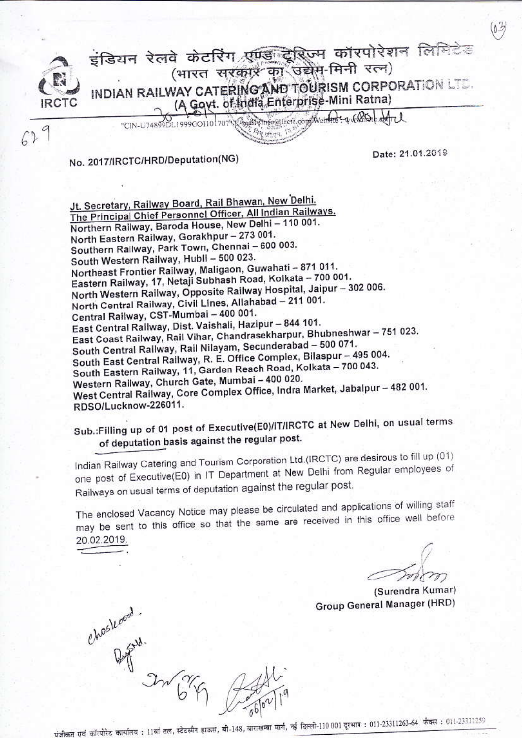इंडियन रेलवे केटरिंग एण्ड**़ ट्रेरि**ज्म कॉरपोरेशन लिमिटेड (भारत सरकार का उद्येम-मिनी रत्न) INDIAN RAILWAY CATERING AND TOURISM CORPORATION LTD. (A Goyt. of India Enterprise-Mini Ratna)

"CIN-U74899DL1999GO1101707"ESpate Info@frete.com/Webstreep1(QDLdrd

No. 2017/IRCTC/HRD/Deputation(NG)

 $67$ 

Date: 21.01.2019

 $\omega$ 

Jt. Secretary, Railway Board, Rail Bhawan, New Delhi. The Principal Chief Personnel Officer, All Indian Railways. Northern Railway, Baroda House, New Delhi - 110 001. North Eastern Railway, Gorakhpur - 273 001. Southern Railway, Park Town, Chennai - 600 003. South Western Railway, Hubli - 500 023. Northeast Frontier Railway, Maligaon, Guwahati - 871 011. Eastern Railway, 17, Netaji Subhash Road, Kolkata - 700 001. North Western Railway, Opposite Railway Hospital, Jaipur - 302 006. North Central Railway, Civil Lines, Allahabad - 211 001. Central Railway, CST-Mumbai - 400 001. East Central Railway, Dist. Vaishali, Hazipur - 844 101. East Coast Railway, Rail Vihar, Chandrasekharpur, Bhubneshwar - 751 023. South Central Railway, Rail Nilayam, Secunderabad - 500 071. South East Central Railway, R. E. Office Complex, Bilaspur - 495 004. South Eastern Railway, 11, Garden Reach Road, Kolkata - 700 043. Western Railway, Church Gate, Mumbai - 400 020. West Central Railway, Core Complex Office, Indra Market, Jabalpur - 482 001. RDSO/Lucknow-226011.

Sub.: Filling up of 01 post of Executive(E0)/IT/IRCTC at New Delhi, on usual terms of deputation basis against the regular post.

Indian Railway Catering and Tourism Corporation Ltd.(IRCTC) are desirous to fill up (01) one post of Executive(E0) in IT Department at New Delhi from Regular employees of Railways on usual terms of deputation against the regular post.

The enclosed Vacancy Notice may please be circulated and applications of willing staff may be sent to this office so that the same are received in this office well before 20.02.2019.

(Surendra Kumar) Group General Manager (HRD)

Choshoese.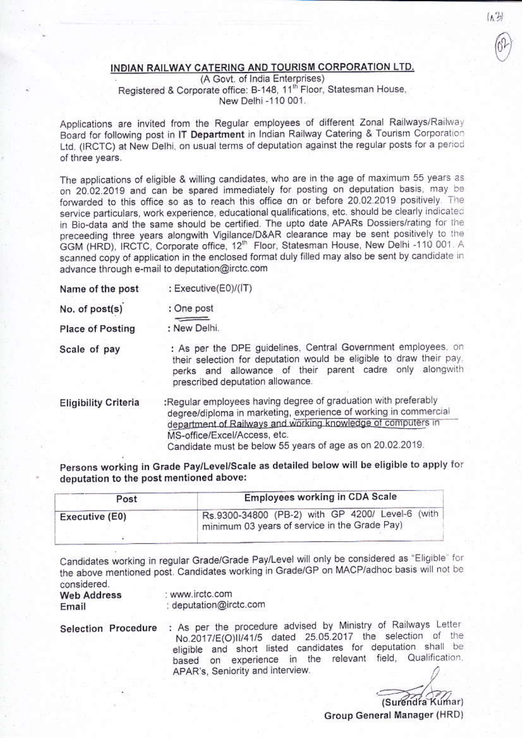## INDIAN RAILWAY CATERING AND TOURISM CORPORATION LTD.

(A Govt. of India Enterprises) Registered & Corporate office: B-148, 11<sup>th</sup> Floor, Statesman House. New Delhi -110 001.

Applications are invited from the Regular employees of different Zonal Railways/Railway Board for following post in IT Department in Indian Railway Catering & Tourism Corporation Ltd. (IRCTC) at New Delhi, on usual terms of deputation against the regular posts for a period of three years.

The applications of eligible & willing candidates, who are in the age of maximum 55 years as on 20.02.2019 and can be spared immediately for posting on deputation basis, may be forwarded to this office so as to reach this office on or before 20.02.2019 positively. The service particulars, work experience, educational qualifications, etc. should be clearly indicated in Bio-data and the same should be certified. The upto date APARs Dossiers/rating for the preceeding three years alongwith Vigilance/D&AR clearance may be sent positively to the GGM (HRD), IRCTC, Corporate office, 12<sup>th</sup> Floor, Statesman House, New Delhi -110 001. A scanned copy of application in the enclosed format duly filled may also be sent by candidate in advance through e-mail to deputation@irctc.com

| Name of the post | : Executive(E0)/(IT) |
|------------------|----------------------|
|                  |                      |

| No. of post(s) | : One post |
|----------------|------------|
|----------------|------------|

**Place of Posting** : New Delhi.

Scale of pay

: As per the DPE guidelines, Central Government employees, on their selection for deputation would be eligible to draw their pay. perks and allowance of their parent cadre only alongwith prescribed deputation allowance.

:Regular employees having degree of graduation with preferably **Eligibility Criteria** degree/diploma in marketing, experience of working in commercial department of Railways and working knowledge of computers in MS-office/Excel/Access, etc. Candidate must be below 55 years of age as on 20.02.2019.

Persons working in Grade Pay/Level/Scale as detailed below will be eligible to apply for deputation to the post mentioned above:

| Employees working in CDA Scale                                                                    |  |  |  |
|---------------------------------------------------------------------------------------------------|--|--|--|
| Rs.9300-34800 (PB-2) with GP 4200/ Level-6 (with<br>minimum 03 years of service in the Grade Pay) |  |  |  |
|                                                                                                   |  |  |  |

Candidates working in regular Grade/Grade Pay/Level will only be considered as "Eligible" for the above mentioned post. Candidates working in Grade/GP on MACP/adhoc basis will not be considered

| ----------<br><b>Web Address</b> | www.irctc.com          |  |  |
|----------------------------------|------------------------|--|--|
| Email                            | : deputation@irctc.com |  |  |

Selection Procedure : As per the procedure advised by Ministry of Railways Letter No.2017/E(O)II/41/5 dated 25.05.2017 the selection of the eligible and short listed candidates for deputation shall be based on experience in the relevant field, Qualification, APAR's, Seniority and interview.

(Surendra Kumar)

 $(A, 3)$ 

Group General Manager (HRD)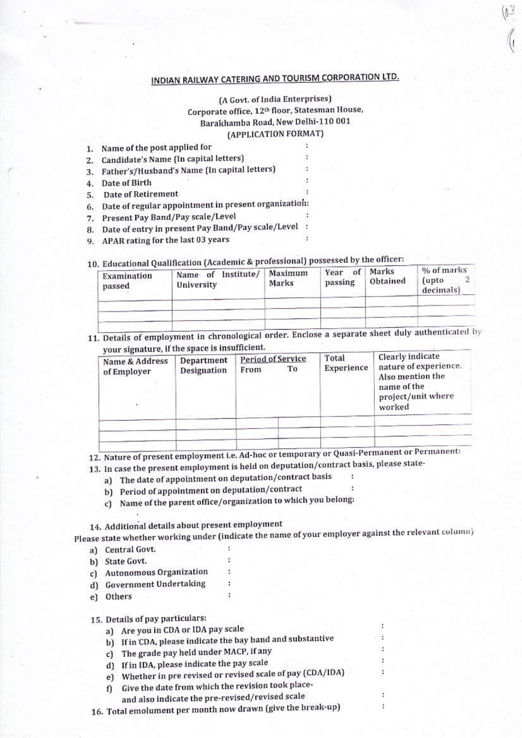## INDIAN RAILWAY CATERING AND TOURISM CORPORATION LTD.

(A Govt. of India Enterprises) Corporate office, 12<sup>th</sup> floor, Statesman House, Barakhamba Road, New Delhi-110 001 (APPLICATION FORMAT)

|    | 1. Name of the post applied for              |          |  |
|----|----------------------------------------------|----------|--|
|    | Candidate's Name (In capital letters)        |          |  |
|    | Father's/Husband's Name (In capital letters) | $\sim$ 2 |  |
|    | Date of Birth                                |          |  |
| 5. | Date of Retirement                           |          |  |
|    |                                              |          |  |

6. Date of regular appointment in present organization:

- 7. Present Pay Band/Pay scale/Level
- 8. Date of entry in present Pay Band/Pay scale/Level :
- 9. APAR rating for the last 03 years

# 10. Educational Qualification (Academic & professional) possessed by the officer:

| Examination<br>passed | Name of Institute/<br>University | Maximum<br>Marks | of<br>Year<br>passing | Marks<br>Obtained | % of marks<br>(upto)<br>decimals) |
|-----------------------|----------------------------------|------------------|-----------------------|-------------------|-----------------------------------|
|                       |                                  |                  |                       |                   |                                   |
|                       |                                  |                  |                       |                   |                                   |

11. Details of employment in chronological order. Enclose a separate sheet duly authenticated by your signature, if the space is insufficient.

| Name & Address<br>of Employer | Department<br>Designation | <b>Period of Service</b><br>Тo<br>From | Total<br>Experience | Clearly indicate<br>nature of experience.<br>Also mention the<br>name of the<br>project/unit where<br>worked |
|-------------------------------|---------------------------|----------------------------------------|---------------------|--------------------------------------------------------------------------------------------------------------|
|                               |                           |                                        |                     |                                                                                                              |
|                               |                           |                                        |                     |                                                                                                              |

12. Nature of present employment i.e. Ad-hoc or temporary or Quasi-Permanent or Permanent:

13. In case the present employment is held on deputation/contract basis, please state-

- a) The date of appointment on deputation/contract basis
- b) Period of appointment on deputation/contract
- c) Name of the parent office/organization to which you belong:

14. Additional details about present employment

Please state whether working under (indicate the name of your employer against the relevant column) a) Central Govt.

- b) State Govt.
- c) Autonomous Organization
- d) Government Undertaking
- e) Others

15. Details of pay particulars:

a) Are you in CDA or IDA pay scale

- b) If in CDA, please indicate the bay band and substantive
- c) The grade pay held under MACP, if any
- d) If in IDA, please indicate the pay scale

e) Whether in pre revised or revised scale of pay (CDA/IDA)

- f) Give the date from which the revision took place-
- and also indicate the pre-revised/revised scale

16. Total emolument per month now drawn (give the break-up)